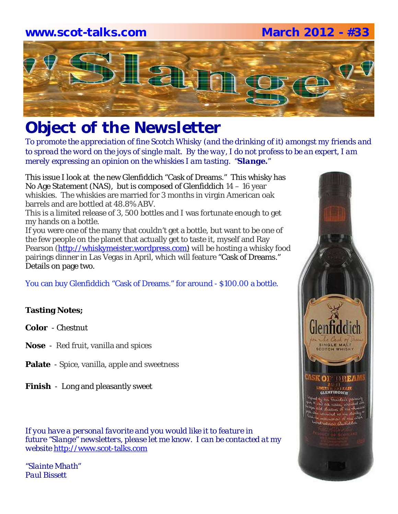### **www.scot-talks.com March 2012 - #33**



# *Object of the Newsletter*

*To promote the appreciation of fine Scotch Whisky (and the drinking of it) amongst my friends and to spread the word on the joys of single malt. By the way, I do not profess to be an expert, I am merely expressing an opinion on the whiskies I am tasting. "Slange."*

This issue I look at the new Glenfiddich "Cask of Dreams." This whisky has No Age Statement (NAS), but is composed of Glenfiddich 14 – 16 year whiskies. The whiskies are married for 3 months in virgin American oak barrels and are bottled at 48.8% ABV.

This is a limited release of 3, 500 bottles and I was fortunate enough to get my hands on a bottle.

If you were one of the many that couldn't get a bottle, but want to be one of the few people on the planet that actually get to taste it, myself and Ray Pearson (http://whiskymeister.wordpress.com) will be hosting a whisky food pairings dinner in Las Vegas in April, which will feature "Cask of Dreams." Details on page two.

You can buy Glenfiddich "Cask of Dreams." for around - \$100.00 a bottle.

### **Tasting Notes;**

**Color** - Chestnut

- **Nose**  Red fruit, vanilla and spices
- **Palate**  Spice, vanilla, apple and sweetness
- **Finish**  Long and pleasantly sweet

*If you have a personal favorite and you would like it to feature in future "Slange" newsletters, please let me know. I can be contacted at my website* http://www.scot-talks.com

*"Slainte Mhath" Paul Bissett*

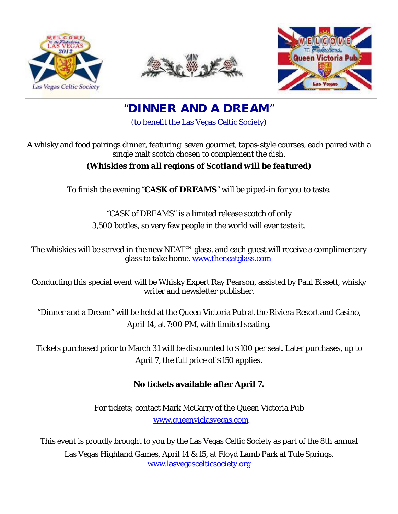





"**DINNER AND A DREAM**"

(to benefit the Las Vegas Celtic Society)

A whisky and food pairings dinner, featuring seven gourmet, tapas-style courses, each paired with a single malt scotch chosen to complement the dish.

### *(Whiskies from all regions of Scotland will be featured)*

To finish the evening "**CASK of DREAMS**" will be piped-in for you to taste.

"CASK of DREAMS" is a limited release scotch of only 3,500 bottles, so very few people in the world will ever taste it.

The whiskies will be served in the new NEAT™ glass, and each guest will receive a complimentary glass to take home. www.theneatglass.com

Conducting this special event will be Whisky Expert Ray Pearson, assisted by Paul Bissett, whisky writer and newsletter publisher.

"Dinner and a Dream" will be held at the Queen Victoria Pub at the Riviera Resort and Casino, April 14, at 7:00 PM, with limited seating.

Tickets purchased prior to March 31 will be discounted to \$100 per seat. Later purchases, up to April 7, the full price of \$150 applies.

### **No tickets available after April 7.**

For tickets; contact Mark McGarry of the Queen Victoria Pub www.queenviclasvegas.com

This event is proudly brought to you by the Las Vegas Celtic Society as part of the 8th annual Las Vegas Highland Games, April 14 & 15, at Floyd Lamb Park at Tule Springs. www.lasvegascelticsociety.org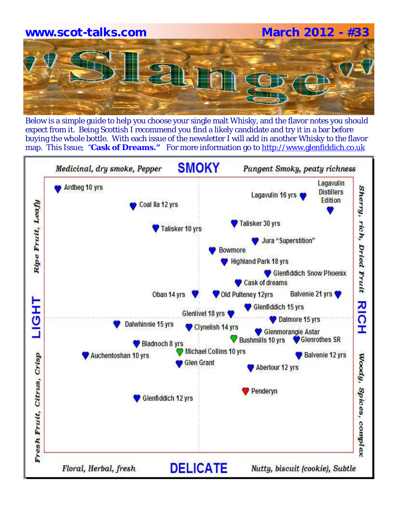# **www.scot-talks.com March 2012 - #33**

Below is a simple guide to help you choose your single malt Whisky, and the flavor notes you should expect from it. Being Scottish I recommend you find a likely candidate and try it in a bar before buying the whole bottle. With each issue of the newsletter I will add in another Whisky to the flavor map. This Issue; "**Cask of Dreams."** For more information go to http://www.glenfiddich.co.uk